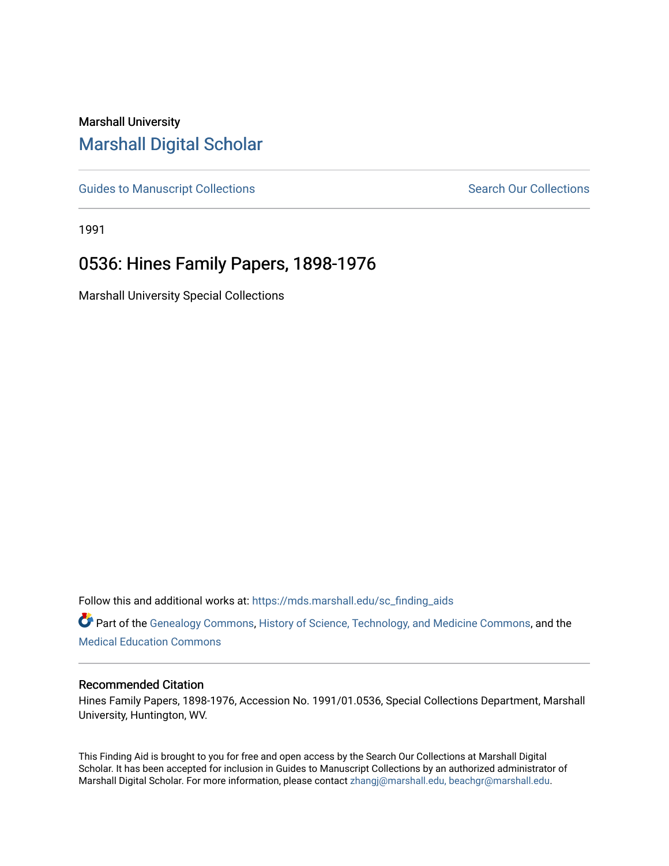## Marshall University [Marshall Digital Scholar](https://mds.marshall.edu/)

[Guides to Manuscript Collections](https://mds.marshall.edu/sc_finding_aids) **Search Our Collections** Search Our Collections

1991

## 0536: Hines Family Papers, 1898-1976

Marshall University Special Collections

Follow this and additional works at: [https://mds.marshall.edu/sc\\_finding\\_aids](https://mds.marshall.edu/sc_finding_aids?utm_source=mds.marshall.edu%2Fsc_finding_aids%2F288&utm_medium=PDF&utm_campaign=PDFCoverPages) 

Part of the [Genealogy Commons,](http://network.bepress.com/hgg/discipline/1342?utm_source=mds.marshall.edu%2Fsc_finding_aids%2F288&utm_medium=PDF&utm_campaign=PDFCoverPages) [History of Science, Technology, and Medicine Commons,](http://network.bepress.com/hgg/discipline/500?utm_source=mds.marshall.edu%2Fsc_finding_aids%2F288&utm_medium=PDF&utm_campaign=PDFCoverPages) and the [Medical Education Commons](http://network.bepress.com/hgg/discipline/1125?utm_source=mds.marshall.edu%2Fsc_finding_aids%2F288&utm_medium=PDF&utm_campaign=PDFCoverPages) 

## Recommended Citation

Hines Family Papers, 1898-1976, Accession No. 1991/01.0536, Special Collections Department, Marshall University, Huntington, WV.

This Finding Aid is brought to you for free and open access by the Search Our Collections at Marshall Digital Scholar. It has been accepted for inclusion in Guides to Manuscript Collections by an authorized administrator of Marshall Digital Scholar. For more information, please contact [zhangj@marshall.edu, beachgr@marshall.edu](mailto:zhangj@marshall.edu,%20beachgr@marshall.edu).